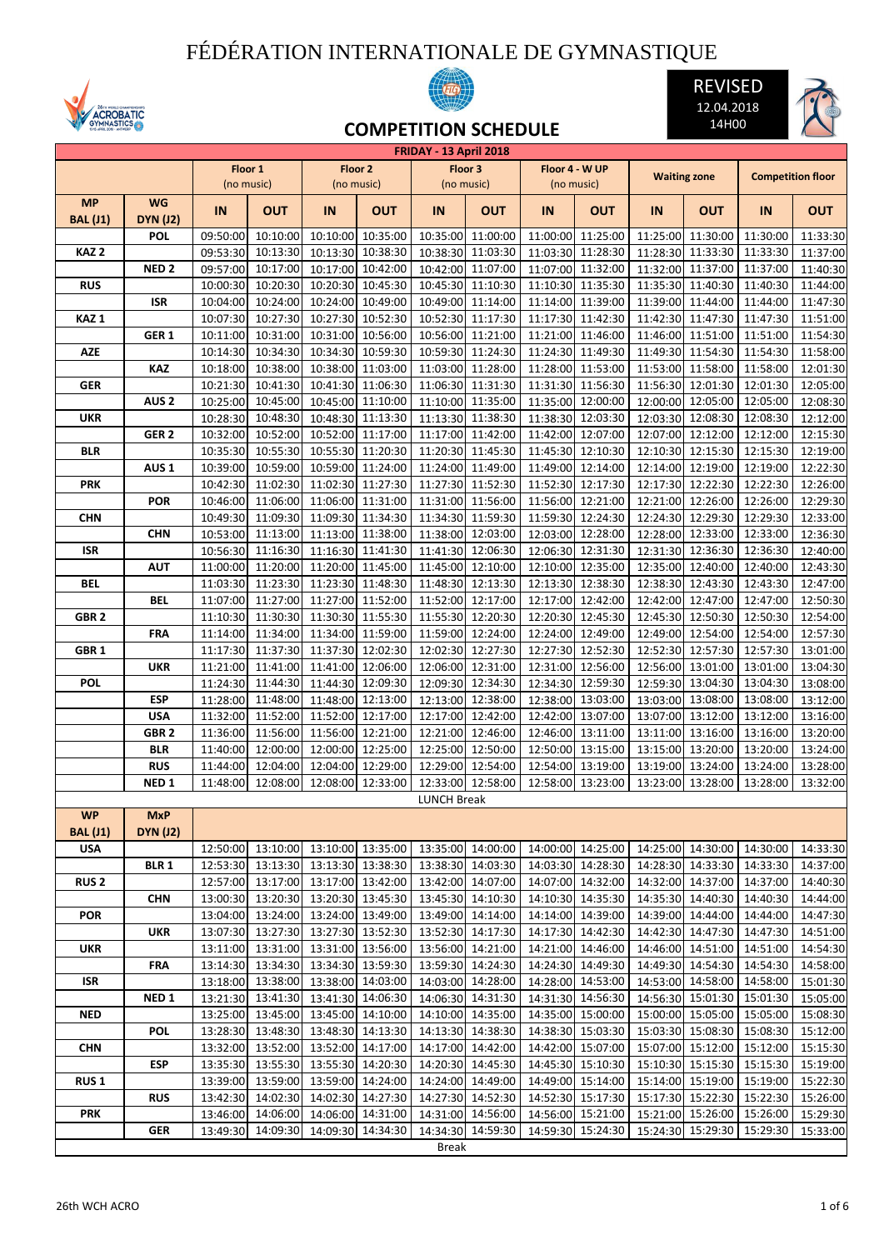## FÉDÉRATION INTERNATIONALE DE GYMNASTIQUE







**COMPETITION SCHEDULE**

|                  |                  |          |            |          |                            | <b>FRIDAY - 13 April 2018</b> |                   |          |                   |          |                            |          |                          |
|------------------|------------------|----------|------------|----------|----------------------------|-------------------------------|-------------------|----------|-------------------|----------|----------------------------|----------|--------------------------|
|                  |                  |          | Floor 1    |          | Floor 2                    |                               | Floor 3           |          | Floor 4 - W UP    |          | <b>Waiting zone</b>        |          | <b>Competition floor</b> |
|                  |                  |          | (no music) |          | (no music)                 |                               | (no music)        |          | (no music)        |          |                            |          |                          |
| <b>MP</b>        | <b>WG</b>        | IN       | <b>OUT</b> | IN       | <b>OUT</b>                 | IN                            | <b>OUT</b>        | IN       | <b>OUT</b>        | IN       | <b>OUT</b>                 | IN       | <b>OUT</b>               |
| <b>BAL</b> (J1)  | <b>DYN (J2)</b>  |          |            |          |                            |                               |                   |          |                   |          |                            |          |                          |
|                  | <b>POL</b>       | 09:50:00 | 10:10:00   | 10:10:00 | 10:35:00                   | 10:35:00                      | 11:00:00          | 11:00:00 | 11:25:00          | 11:25:00 | 11:30:00                   | 11:30:00 | 11:33:30                 |
| KAZ <sub>2</sub> |                  | 09:53:30 | 10:13:30   |          | 10:13:30 10:38:30          | 10:38:30                      | 11:03:30          |          | 11:03:30 11:28:30 | 11:28:30 | 11:33:30                   | 11:33:30 | 11:37:00                 |
|                  | NED <sub>2</sub> | 09:57:00 | 10:17:00   |          | 10:17:00 10:42:00          | 10:42:00                      | 11:07:00          | 11:07:00 | 11:32:00          | 11:32:00 | 11:37:00                   | 11:37:00 | 11:40:30                 |
| <b>RUS</b>       |                  | 10:00:30 | 10:20:30   | 10:20:30 | 10:45:30                   | 10:45:30                      | 11:10:30          | 11:10:30 | 11:35:30          | 11:35:30 | 11:40:30                   | 11:40:30 | 11:44:00                 |
|                  | ISR              | 10:04:00 | 10:24:00   | 10:24:00 | 10:49:00                   | 10:49:00                      | 11:14:00          |          | 11:14:00 11:39:00 | 11:39:00 | 11:44:00                   | 11:44:00 | 11:47:30                 |
| KAZ <sub>1</sub> |                  | 10:07:30 | 10:27:30   | 10:27:30 | 10:52:30                   | 10:52:30                      | 11:17:30          |          | 11:17:30 11:42:30 | 11:42:30 | 11:47:30                   | 11:47:30 | 11:51:00                 |
|                  | GER <sub>1</sub> | 10:11:00 | 10:31:00   | 10:31:00 | 10:56:00                   | 10:56:00                      | 11:21:00          |          | 11:21:00 11:46:00 | 11:46:00 | 11:51:00                   | 11:51:00 | 11:54:30                 |
| <b>AZE</b>       |                  | 10:14:30 | 10:34:30   | 10:34:30 | 10:59:30                   |                               | 10:59:30 11:24:30 |          | 11:24:30 11:49:30 |          | 11:49:30 11:54:30          | 11:54:30 | 11:58:00                 |
|                  | KAZ              | 10:18:00 | 10:38:00   | 10:38:00 | 11:03:00                   | 11:03:00                      | 11:28:00          |          | 11:28:00 11:53:00 |          | 11:53:00 11:58:00          | 11:58:00 | 12:01:30                 |
| <b>GER</b>       |                  | 10:21:30 | 10:41:30   |          | 10:41:30 11:06:30          | 11:06:30                      | 11:31:30          |          | 11:31:30 11:56:30 | 11:56:30 | 12:01:30                   | 12:01:30 | 12:05:00                 |
|                  | AUS <sub>2</sub> | 10:25:00 | 10:45:00   | 10:45:00 | 11:10:00                   | 11:10:00                      | 11:35:00          | 11:35:00 | 12:00:00          | 12:00:00 | 12:05:00                   | 12:05:00 | 12:08:30                 |
| <b>UKR</b>       |                  | 10:28:30 | 10:48:30   | 10:48:30 | 11:13:30                   | 11:13:30                      | 11:38:30          | 11:38:30 | 12:03:30          | 12:03:30 | 12:08:30                   | 12:08:30 | 12:12:00                 |
|                  | GER 2            | 10:32:00 | 10:52:00   | 10:52:00 | 11:17:00                   | 11:17:00                      | 11:42:00          | 11:42:00 | 12:07:00          | 12:07:00 | 12:12:00                   | 12:12:00 | 12:15:30                 |
| BLR              |                  | 10:35:30 | 10:55:30   | 10:55:30 | 11:20:30                   | 11:20:30                      | 11:45:30          | 11:45:30 | 12:10:30          | 12:10:30 | 12:15:30                   | 12:15:30 | 12:19:00                 |
|                  | AUS <sub>1</sub> | 10:39:00 | 10:59:00   |          | 10:59:00 11:24:00          |                               | 11:24:00 11:49:00 |          | 11:49:00 12:14:00 |          | 12:14:00 12:19:00          | 12:19:00 | 12:22:30                 |
| <b>PRK</b>       |                  | 10:42:30 | 11:02:30   |          | 11:02:30 11:27:30          | 11:27:30                      | 11:52:30          |          | 11:52:30 12:17:30 | 12:17:30 | 12:22:30                   | 12:22:30 | 12:26:00                 |
|                  | <b>POR</b>       | 10:46:00 | 11:06:00   |          | 11:06:00 11:31:00          | 11:31:00                      | 11:56:00          |          | 11:56:00 12:21:00 | 12:21:00 | 12:26:00                   | 12:26:00 | 12:29:30                 |
| <b>CHN</b>       |                  | 10:49:30 | 11:09:30   | 11:09:30 | 11:34:30                   | 11:34:30                      | 11:59:30          | 11:59:30 | 12:24:30          | 12:24:30 | 12:29:30                   | 12:29:30 | 12:33:00                 |
|                  | <b>CHN</b>       | 10:53:00 | 11:13:00   | 11:13:00 | 11:38:00                   | 11:38:00                      | 12:03:00          |          | 12:03:00 12:28:00 | 12:28:00 | 12:33:00                   | 12:33:00 | 12:36:30                 |
| ISR              |                  | 10:56:30 | 11:16:30   | 11:16:30 | 11:41:30                   | 11:41:30                      | 12:06:30          |          | 12:06:30 12:31:30 | 12:31:30 | 12:36:30                   | 12:36:30 | 12:40:00                 |
|                  | AUT              | 11:00:00 | 11:20:00   |          | 11:20:00 11:45:00          | 11:45:00                      | 12:10:00          |          | 12:10:00 12:35:00 | 12:35:00 | 12:40:00                   | 12:40:00 | 12:43:30                 |
| <b>BEL</b>       |                  | 11:03:30 | 11:23:30   | 11:23:30 | 11:48:30                   | 11:48:30                      | 12:13:30          |          | 12:13:30 12:38:30 | 12:38:30 | 12:43:30                   | 12:43:30 | 12:47:00                 |
|                  | <b>BEL</b>       | 11:07:00 | 11:27:00   |          | 11:27:00 11:52:00          | 11:52:00                      | 12:17:00          |          | 12:17:00 12:42:00 |          | 12:42:00 12:47:00          | 12:47:00 | 12:50:30                 |
| GBR <sub>2</sub> |                  | 11:10:30 | 11:30:30   |          | 11:30:30 11:55:30          | 11:55:30                      | 12:20:30          |          | 12:20:30 12:45:30 |          | 12:45:30 12:50:30          | 12:50:30 | 12:54:00                 |
|                  | FRA              | 11:14:00 | 11:34:00   | 11:34:00 | 11:59:00                   | 11:59:00                      | 12:24:00          | 12:24:00 | 12:49:00          | 12:49:00 | 12:54:00                   | 12:54:00 | 12:57:30                 |
| GBR 1            |                  | 11:17:30 | 11:37:30   | 11:37:30 | 12:02:30                   | 12:02:30                      | 12:27:30          | 12:27:30 | 12:52:30          | 12:52:30 | 12:57:30                   | 12:57:30 | 13:01:00                 |
|                  | <b>UKR</b>       | 11:21:00 | 11:41:00   | 11:41:00 | 12:06:00                   | 12:06:00                      | 12:31:00          |          | 12:31:00 12:56:00 |          | 12:56:00 13:01:00          | 13:01:00 | 13:04:30                 |
| POL              |                  | 11:24:30 | 11:44:30   | 11:44:30 | 12:09:30                   | 12:09:30                      | 12:34:30          |          | 12:34:30 12:59:30 | 12:59:30 | 13:04:30                   | 13:04:30 | 13:08:00                 |
|                  | ESP              | 11:28:00 | 11:48:00   | 11:48:00 | 12:13:00                   | 12:13:00                      | 12:38:00          |          | 12:38:00 13:03:00 |          | 13:03:00 13:08:00          | 13:08:00 | 13:12:00                 |
|                  | <b>USA</b>       | 11:32:00 | 11:52:00   | 11:52:00 | 12:17:00                   | 12:17:00                      | 12:42:00          |          | 12:42:00 13:07:00 | 13:07:00 | 13:12:00                   | 13:12:00 | 13:16:00                 |
|                  | GBR <sub>2</sub> | 11:36:00 | 11:56:00   |          | 11:56:00 12:21:00          | 12:21:00                      | 12:46:00          |          | 12:46:00 13:11:00 | 13:11:00 | 13:16:00                   | 13:16:00 | 13:20:00                 |
|                  | BLR              | 11:40:00 | 12:00:00   |          | 12:00:00 12:25:00          | 12:25:00                      | 12:50:00          | 12:50:00 | 13:15:00          | 13:15:00 | 13:20:00                   | 13:20:00 | 13:24:00                 |
|                  | <b>RUS</b>       | 11:44:00 | 12:04:00   | 12:04:00 | 12:29:00                   | 12:29:00                      | 12:54:00          |          | 12:54:00 13:19:00 |          | 13:19:00 13:24:00          | 13:24:00 | 13:28:00<br>13:32:00     |
|                  | NED <sub>1</sub> | 11:48:00 | 12:08:00   | 12:08:00 | 12:33:00                   | <b>LUNCH Break</b>            | 12:33:00 12:58:00 | 12:58:00 | 13:23:00          | 13:23:00 | 13:28:00                   | 13:28:00 |                          |
| <b>WP</b>        | <b>MxP</b>       |          |            |          |                            |                               |                   |          |                   |          |                            |          |                          |
| <b>BAL (J1)</b>  | <b>DYN (J2)</b>  |          |            |          |                            |                               |                   |          |                   |          |                            |          |                          |
| <b>USA</b>       |                  | 12:50:00 |            |          | 13:10:00 13:10:00 13:35:00 |                               | 13:35:00 14:00:00 |          | 14:00:00 14:25:00 |          | 14:25:00 14:30:00 14:30:00 |          | 14:33:30                 |
|                  | <b>BLR 1</b>     | 12:53:30 | 13:13:30   |          | 13:13:30 13:38:30          |                               | 13:38:30 14:03:30 |          | 14:03:30 14:28:30 |          | 14:28:30 14:33:30          | 14:33:30 | 14:37:00                 |
| <b>RUS 2</b>     |                  | 12:57:00 | 13:17:00   |          | 13:17:00 13:42:00          | 13:42:00                      | 14:07:00          |          | 14:07:00 14:32:00 |          | 14:32:00 14:37:00          | 14:37:00 | 14:40:30                 |
|                  | <b>CHN</b>       | 13:00:30 | 13:20:30   |          | 13:20:30 13:45:30          |                               | 13:45:30 14:10:30 |          | 14:10:30 14:35:30 |          | 14:35:30 14:40:30          | 14:40:30 | 14:44:00                 |
| <b>POR</b>       |                  | 13:04:00 | 13:24:00   |          | 13:24:00 13:49:00          |                               | 13:49:00 14:14:00 |          | 14:14:00 14:39:00 |          | 14:39:00 14:44:00          | 14:44:00 | 14:47:30                 |
|                  | <b>UKR</b>       | 13:07:30 | 13:27:30   |          | 13:27:30 13:52:30          | 13:52:30                      | 14:17:30          |          | 14:17:30 14:42:30 |          | 14:42:30 14:47:30          | 14:47:30 | 14:51:00                 |
| <b>UKR</b>       |                  | 13:11:00 | 13:31:00   |          | 13:31:00 13:56:00          |                               | 13:56:00 14:21:00 |          | 14:21:00 14:46:00 |          | 14:46:00 14:51:00          | 14:51:00 | 14:54:30                 |
|                  | <b>FRA</b>       | 13:14:30 | 13:34:30   |          | 13:34:30 13:59:30          |                               | 13:59:30 14:24:30 |          | 14:24:30 14:49:30 |          | 14:49:30 14:54:30          | 14:54:30 | 14:58:00                 |
| ISR              |                  | 13:18:00 | 13:38:00   |          | 13:38:00 14:03:00          |                               | 14:03:00 14:28:00 |          | 14:28:00 14:53:00 |          | 14:53:00 14:58:00          | 14:58:00 | 15:01:30                 |
|                  | NED <sub>1</sub> | 13:21:30 | 13:41:30   | 13:41:30 | 14:06:30                   | 14:06:30                      | 14:31:30          |          | 14:31:30 14:56:30 |          | 14:56:30 15:01:30          | 15:01:30 | 15:05:00                 |
| <b>NED</b>       |                  | 13:25:00 | 13:45:00   | 13:45:00 | 14:10:00                   |                               | 14:10:00 14:35:00 |          | 14:35:00 15:00:00 |          | 15:00:00 15:05:00          | 15:05:00 | 15:08:30                 |
|                  | <b>POL</b>       | 13:28:30 | 13:48:30   | 13:48:30 | 14:13:30                   | 14:13:30                      | 14:38:30          |          | 14:38:30 15:03:30 |          | 15:03:30 15:08:30          | 15:08:30 | 15:12:00                 |
| <b>CHN</b>       |                  | 13:32:00 | 13:52:00   | 13:52:00 | 14:17:00                   | 14:17:00                      | 14:42:00          |          | 14:42:00 15:07:00 |          | 15:07:00 15:12:00          | 15:12:00 | 15:15:30                 |
|                  | <b>ESP</b>       | 13:35:30 | 13:55:30   |          | 13:55:30 14:20:30          |                               | 14:20:30 14:45:30 |          | 14:45:30 15:10:30 |          | 15:10:30 15:15:30          | 15:15:30 | 15:19:00                 |
| RUS <sub>1</sub> |                  | 13:39:00 | 13:59:00   | 13:59:00 | 14:24:00                   |                               | 14:24:00 14:49:00 |          | 14:49:00 15:14:00 |          | 15:14:00 15:19:00          | 15:19:00 | 15:22:30                 |
|                  | <b>RUS</b>       | 13:42:30 | 14:02:30   |          | 14:02:30 14:27:30          |                               | 14:27:30 14:52:30 |          | 14:52:30 15:17:30 |          | 15:17:30 15:22:30          | 15:22:30 | 15:26:00                 |
| <b>PRK</b>       |                  | 13:46:00 | 14:06:00   | 14:06:00 | 14:31:00                   |                               | 14:31:00 14:56:00 |          | 14:56:00 15:21:00 |          | 15:21:00 15:26:00          | 15:26:00 | 15:29:30                 |
|                  | <b>GER</b>       | 13:49:30 | 14:09:30   | 14:09:30 | 14:34:30                   |                               | 14:34:30 14:59:30 |          | 14:59:30 15:24:30 |          | 15:24:30 15:29:30          | 15:29:30 | 15:33:00                 |
|                  |                  |          |            |          |                            | <b>Break</b>                  |                   |          |                   |          |                            |          |                          |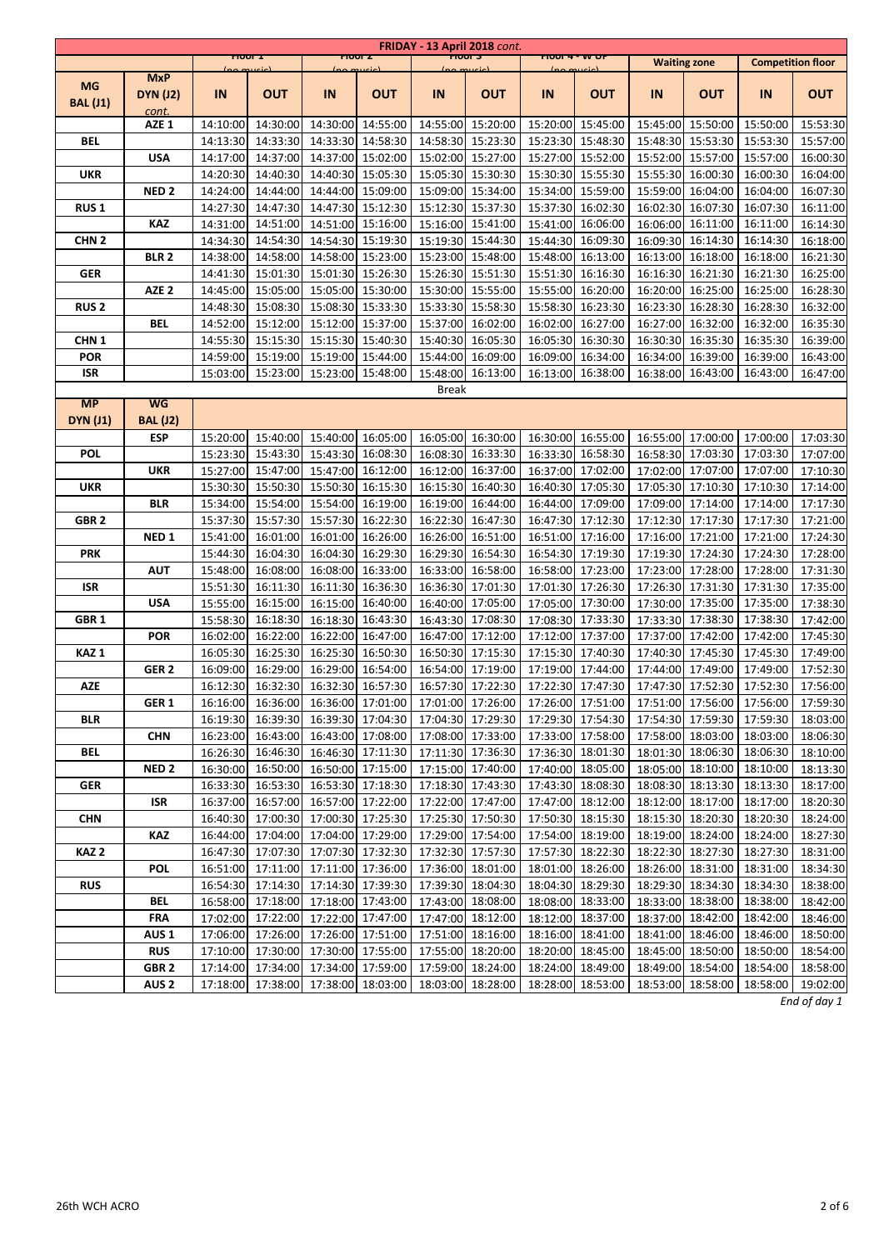|                  |                               |                      |                      |                      |                            |              | FRIDAY - 13 April 2018 cont.                                                                                         |                                |                                        |          |                                        |                      |                          |
|------------------|-------------------------------|----------------------|----------------------|----------------------|----------------------------|--------------|----------------------------------------------------------------------------------------------------------------------|--------------------------------|----------------------------------------|----------|----------------------------------------|----------------------|--------------------------|
|                  |                               | (no mucic)           | <b>FIOUT I</b>       | (no much)            | 1000C                      |              | 10003<br>lno mucic)                                                                                                  | <b>PIOOT 4 - W OP</b><br>$\mu$ |                                        |          | <b>Waiting zone</b>                    |                      | <b>Competition floor</b> |
| <b>MG</b>        | <b>MxP</b><br><b>DYN (J2)</b> | IN                   | <b>OUT</b>           | IN                   | <b>OUT</b>                 | IN           | <b>OUT</b>                                                                                                           | IN                             | <b>OUT</b>                             | IN       | <b>OUT</b>                             | IN                   | <b>OUT</b>               |
| <b>BAL (J1)</b>  | cont.                         |                      |                      |                      |                            |              |                                                                                                                      |                                |                                        |          |                                        |                      |                          |
|                  | AZE <sub>1</sub>              | 14:10:00             | 14:30:00             | 14:30:00             | 14:55:00                   |              | 14:55:00 15:20:00                                                                                                    | 15:20:00                       | 15:45:00                               |          | 15:45:00 15:50:00                      | 15:50:00             | 15:53:30                 |
| BEL              |                               | 14:13:30             | 14:33:30             | 14:33:30             | 14:58:30                   | 14:58:30     | 15:23:30                                                                                                             | 15:23:30                       | 15:48:30                               |          | 15:48:30 15:53:30                      | 15:53:30             | 15:57:00                 |
|                  | <b>USA</b>                    | 14:17:00             | 14:37:00             | 14:37:00             | 15:02:00                   | 15:02:00     | 15:27:00                                                                                                             | 15:27:00                       | 15:52:00                               | 15:52:00 | 15:57:00                               | 15:57:00             | 16:00:30                 |
| <b>UKR</b>       |                               | 14:20:30             | 14:40:30             | 14:40:30             | 15:05:30                   |              | 15:05:30 15:30:30                                                                                                    | 15:30:30                       | 15:55:30                               | 15:55:30 | 16:00:30                               | 16:00:30             | 16:04:00                 |
|                  | NED <sub>2</sub>              | 14:24:00             | 14:44:00             | 14:44:00             | 15:09:00                   |              | 15:09:00 15:34:00                                                                                                    | 15:34:00                       | 15:59:00                               | 15:59:00 | 16:04:00                               | 16:04:00             | 16:07:30                 |
| <b>RUS1</b>      |                               | 14:27:30             | 14:47:30             | 14:47:30             | 15:12:30                   | 15:12:30     | 15:37:30                                                                                                             | 15:37:30                       | 16:02:30                               | 16:02:30 | 16:07:30                               | 16:07:30             | 16:11:00                 |
|                  | KAZ                           | 14:31:00             | 14:51:00             | 14:51:00             | 15:16:00                   |              | 15:16:00 15:41:00                                                                                                    |                                | 15:41:00 16:06:00                      |          | 16:06:00 16:11:00                      | 16:11:00             | 16:14:30                 |
| CHN <sub>2</sub> |                               | 14:34:30             | 14:54:30             | 14:54:30             | 15:19:30                   |              | 15:19:30 15:44:30                                                                                                    | 15:44:30                       | 16:09:30                               |          | 16:09:30 16:14:30                      | 16:14:30             | 16:18:00                 |
|                  | <b>BLR2</b>                   | 14:38:00             | 14:58:00             | 14:58:00             | 15:23:00                   | 15:23:00     | 15:48:00                                                                                                             | 15:48:00                       | 16:13:00                               |          | 16:13:00 16:18:00                      | 16:18:00             | 16:21:30                 |
| <b>GER</b>       |                               | 14:41:30             | 15:01:30             | 15:01:30             | 15:26:30                   | 15:26:30     | 15:51:30                                                                                                             | 15:51:30                       | 16:16:30                               | 16:16:30 | 16:21:30                               | 16:21:30             | 16:25:00                 |
|                  | AZE <sub>2</sub>              | 14:45:00             | 15:05:00             | 15:05:00             | 15:30:00                   | 15:30:00     | 15:55:00                                                                                                             | 15:55:00                       | 16:20:00                               | 16:20:00 | 16:25:00                               | 16:25:00             | 16:28:30                 |
| <b>RUS2</b>      |                               | 14:48:30             | 15:08:30             | 15:08:30             | 15:33:30                   | 15:33:30     | 15:58:30                                                                                                             | 15:58:30                       | 16:23:30                               | 16:23:30 | 16:28:30                               | 16:28:30             | 16:32:00                 |
|                  | BEL                           | 14:52:00             | 15:12:00             | 15:12:00             | 15:37:00                   | 15:37:00     | 16:02:00                                                                                                             | 16:02:00                       | 16:27:00                               | 16:27:00 | 16:32:00                               | 16:32:00             | 16:35:30                 |
| CHN <sub>1</sub> |                               | 14:55:30             | 15:15:30             | 15:15:30             | 15:40:30                   | 15:40:30     | 16:05:30                                                                                                             | 16:05:30                       | 16:30:30                               | 16:30:30 | 16:35:30                               | 16:35:30             | 16:39:00                 |
| <b>POR</b>       |                               | 14:59:00             | 15:19:00             | 15:19:00             | 15:44:00                   |              | 15:44:00 16:09:00                                                                                                    |                                | 16:09:00 16:34:00                      |          | 16:34:00 16:39:00                      | 16:39:00             | 16:43:00                 |
| <b>ISR</b>       |                               | 15:03:00             | 15:23:00             | 15:23:00             | 15:48:00                   |              | 15:48:00 16:13:00                                                                                                    | 16:13:00                       | 16:38:00                               | 16:38:00 | 16:43:00                               | 16:43:00             | 16:47:00                 |
| <b>MP</b>        | <b>WG</b>                     |                      |                      |                      |                            | <b>Break</b> |                                                                                                                      |                                |                                        |          |                                        |                      |                          |
|                  |                               |                      |                      |                      |                            |              |                                                                                                                      |                                |                                        |          |                                        |                      |                          |
| <b>DYN (J1)</b>  | <b>BAL</b> (J2)               |                      |                      |                      | 15:40:00 16:05:00          |              | 16:05:00 16:30:00                                                                                                    |                                |                                        |          |                                        |                      |                          |
|                  | ESP                           | 15:20:00             | 15:40:00             |                      |                            |              | 16:08:30 16:33:30                                                                                                    |                                | 16:30:00 16:55:00<br>16:33:30 16:58:30 |          | 16:55:00 17:00:00<br>16:58:30 17:03:30 | 17:00:00<br>17:03:30 | 17:03:30                 |
| <b>POL</b>       |                               | 15:23:30             | 15:43:30             | 15:43:30             | 16:08:30                   |              |                                                                                                                      |                                |                                        |          |                                        |                      | 17:07:00                 |
|                  | <b>UKR</b>                    | 15:27:00<br>15:30:30 | 15:47:00<br>15:50:30 | 15:47:00<br>15:50:30 | 16:12:00<br>16:15:30       | 16:15:30     | 16:12:00 16:37:00<br>16:40:30                                                                                        | 16:37:00<br>16:40:30           | 17:02:00<br>17:05:30                   |          | 17:02:00 17:07:00<br>17:05:30 17:10:30 | 17:07:00<br>17:10:30 | 17:10:30<br>17:14:00     |
| <b>UKR</b>       |                               | 15:34:00             | 15:54:00             | 15:54:00             | 16:19:00                   |              | 16:44:00                                                                                                             | 16:44:00                       | 17:09:00                               |          | 17:09:00 17:14:00                      | 17:14:00             | 17:17:30                 |
|                  | <b>BLR</b>                    |                      |                      |                      |                            | 16:19:00     |                                                                                                                      |                                |                                        |          |                                        |                      |                          |
| GBR <sub>2</sub> | NED <sub>1</sub>              | 15:37:30             | 15:57:30<br>16:01:00 | 15:57:30             | 16:22:30<br>16:26:00       | 16:22:30     | 16:47:30<br>16:51:00                                                                                                 | 16:47:30<br>16:51:00           | 17:12:30<br>17:16:00                   | 17:12:30 | 17:17:30<br>17:21:00                   | 17:17:30<br>17:21:00 | 17:21:00                 |
| <b>PRK</b>       |                               | 15:41:00<br>15:44:30 | 16:04:30             | 16:01:00<br>16:04:30 | 16:29:30                   | 16:26:00     | 16:29:30 16:54:30                                                                                                    |                                | 16:54:30 17:19:30                      | 17:16:00 | 17:19:30 17:24:30                      | 17:24:30             | 17:24:30<br>17:28:00     |
|                  | <b>AUT</b>                    | 15:48:00             | 16:08:00             | 16:08:00             | 16:33:00                   |              | 16:33:00 16:58:00                                                                                                    | 16:58:00                       | 17:23:00                               |          | 17:23:00 17:28:00                      | 17:28:00             | 17:31:30                 |
| <b>ISR</b>       |                               | 15:51:30             | 16:11:30             | 16:11:30             | 16:36:30                   | 16:36:30     | 17:01:30                                                                                                             | 17:01:30                       | 17:26:30                               | 17:26:30 | 17:31:30                               | 17:31:30             | 17:35:00                 |
|                  | <b>USA</b>                    | 15:55:00             | 16:15:00             | 16:15:00             | 16:40:00                   | 16:40:00     | 17:05:00                                                                                                             | 17:05:00                       | 17:30:00                               | 17:30:00 | 17:35:00                               | 17:35:00             | 17:38:30                 |
| GBR <sub>1</sub> |                               | 15:58:30             | 16:18:30             | 16:18:30             | 16:43:30                   | 16:43:30     | 17:08:30                                                                                                             | 17:08:30                       | 17:33:30                               |          | 17:33:30 17:38:30                      | 17:38:30             | 17:42:00                 |
|                  | <b>POR</b>                    | 16:02:00             | 16:22:00             | 16:22:00             | 16:47:00                   |              | 16:47:00 17:12:00                                                                                                    | 17:12:00                       | 17:37:00                               |          | 17:37:00 17:42:00                      | 17:42:00             | 17:45:30                 |
| KAZ <sub>1</sub> |                               | 16:05:30             | 16:25:30             | 16:25:30             | 16:50:30                   |              | 16:50:30 17:15:30                                                                                                    | 17:15:30                       | 17:40:30                               |          | 17:40:30 17:45:30                      | 17:45:30             | 17:49:00                 |
|                  | GER <sub>2</sub>              | 16:09:00             | 16:29:00             | 16:29:00             | 16:54:00                   |              | 16:54:00 17:19:00                                                                                                    |                                | 17:19:00 17:44:00                      |          | 17:44:00 17:49:00                      | 17:49:00             | 17:52:30                 |
| <b>AZE</b>       |                               | 16:12:30             | 16:32:30             |                      | 16:32:30 16:57:30          |              | 16:57:30 17:22:30                                                                                                    |                                | 17:22:30 17:47:30                      |          | 17:47:30 17:52:30                      | 17:52:30             | 17:56:00                 |
|                  | GER <sub>1</sub>              |                      |                      |                      |                            |              | 16:16:00 16:36:00 16:36:00 17:01:00 17:01:00 17:01:00 17:26:00 17:26:00 17:51:00 17:51:00 17:56:00 17:56:00 17:59:30 |                                |                                        |          |                                        |                      |                          |
| BLR              |                               | 16:19:30             | 16:39:30             |                      | 16:39:30 17:04:30          |              | 17:04:30 17:29:30                                                                                                    |                                | 17:29:30 17:54:30                      |          | 17:54:30 17:59:30 17:59:30             |                      | 18:03:00                 |
|                  | <b>CHN</b>                    | 16:23:00             | 16:43:00             |                      | 16:43:00 17:08:00          |              | 17:08:00 17:33:00                                                                                                    |                                | 17:33:00 17:58:00                      |          | 17:58:00 18:03:00                      | 18:03:00             | 18:06:30                 |
| BEL              |                               | 16:26:30             | 16:46:30             |                      | 16:46:30 17:11:30          |              | 17:11:30 17:36:30                                                                                                    |                                | 17:36:30 18:01:30                      |          | 18:01:30 18:06:30                      | 18:06:30             | 18:10:00                 |
|                  | NED 2                         | 16:30:00             | 16:50:00             |                      | 16:50:00 17:15:00          |              | 17:15:00 17:40:00                                                                                                    |                                | 17:40:00 18:05:00                      |          | 18:05:00 18:10:00                      | 18:10:00             | 18:13:30                 |
| <b>GER</b>       |                               | 16:33:30             | 16:53:30             |                      | 16:53:30 17:18:30          |              | 17:18:30 17:43:30                                                                                                    |                                | 17:43:30 18:08:30                      |          | 18:08:30 18:13:30                      | 18:13:30             | 18:17:00                 |
|                  | ISR                           | 16:37:00             | 16:57:00             |                      | 16:57:00 17:22:00          |              | 17:22:00 17:47:00                                                                                                    |                                | 17:47:00 18:12:00                      |          | 18:12:00 18:17:00                      | 18:17:00             | 18:20:30                 |
| <b>CHN</b>       |                               | 16:40:30             | 17:00:30             |                      | 17:00:30 17:25:30          |              | 17:25:30 17:50:30                                                                                                    |                                | 17:50:30 18:15:30                      |          | 18:15:30 18:20:30                      | 18:20:30             | 18:24:00                 |
|                  | <b>KAZ</b>                    | 16:44:00             | 17:04:00             |                      | 17:04:00 17:29:00          |              | 17:29:00 17:54:00                                                                                                    |                                | 17:54:00 18:19:00                      |          | 18:19:00 18:24:00                      | 18:24:00             | 18:27:30                 |
| KAZ <sub>2</sub> |                               | 16:47:30             | 17:07:30             |                      | 17:07:30 17:32:30          |              | 17:32:30 17:57:30                                                                                                    |                                | 17:57:30 18:22:30                      |          | 18:22:30 18:27:30                      | 18:27:30             | 18:31:00                 |
|                  | <b>POL</b>                    | 16:51:00             | 17:11:00             |                      | 17:11:00 17:36:00          |              | 17:36:00 18:01:00                                                                                                    | 18:01:00                       | 18:26:00                               |          | 18:26:00 18:31:00                      | 18:31:00             | 18:34:30                 |
| <b>RUS</b>       |                               | 16:54:30             | 17:14:30             |                      | 17:14:30 17:39:30          |              | 17:39:30 18:04:30                                                                                                    |                                | 18:04:30 18:29:30                      |          | 18:29:30 18:34:30                      | 18:34:30             | 18:38:00                 |
|                  | BEL                           | 16:58:00             | 17:18:00             |                      | 17:18:00 17:43:00          |              | 17:43:00 18:08:00                                                                                                    |                                | 18:08:00 18:33:00                      |          | 18:33:00 18:38:00                      | 18:38:00             | 18:42:00                 |
|                  | <b>FRA</b>                    | 17:02:00             | 17:22:00             |                      | 17:22:00 17:47:00          |              | 17:47:00 18:12:00                                                                                                    |                                | 18:12:00 18:37:00                      |          | 18:37:00 18:42:00                      | 18:42:00             | 18:46:00                 |
|                  | AUS 1                         | 17:06:00             | 17:26:00             |                      | 17:26:00 17:51:00          |              | 17:51:00 18:16:00                                                                                                    |                                | 18:16:00 18:41:00                      |          | 18:41:00 18:46:00                      | 18:46:00             | 18:50:00                 |
|                  | <b>RUS</b>                    | 17:10:00             | 17:30:00             |                      | 17:30:00 17:55:00          |              | 17:55:00 18:20:00                                                                                                    |                                | 18:20:00 18:45:00                      |          | 18:45:00 18:50:00                      | 18:50:00             | 18:54:00                 |
|                  | GBR <sub>2</sub>              | 17:14:00             | 17:34:00             |                      | 17:34:00 17:59:00          |              | 17:59:00 18:24:00                                                                                                    | 18:24:00                       | 18:49:00                               |          | 18:49:00 18:54:00                      | 18:54:00             | 18:58:00                 |
|                  | AUS 2                         | 17:18:00             |                      |                      | 17:38:00 17:38:00 18:03:00 |              | 18:03:00 18:28:00                                                                                                    |                                | 18:28:00 18:53:00                      |          | 18:53:00 18:58:00                      | 18:58:00             | 19:02:00                 |
|                  |                               |                      |                      |                      |                            |              |                                                                                                                      |                                |                                        |          |                                        |                      |                          |

*End of day 1*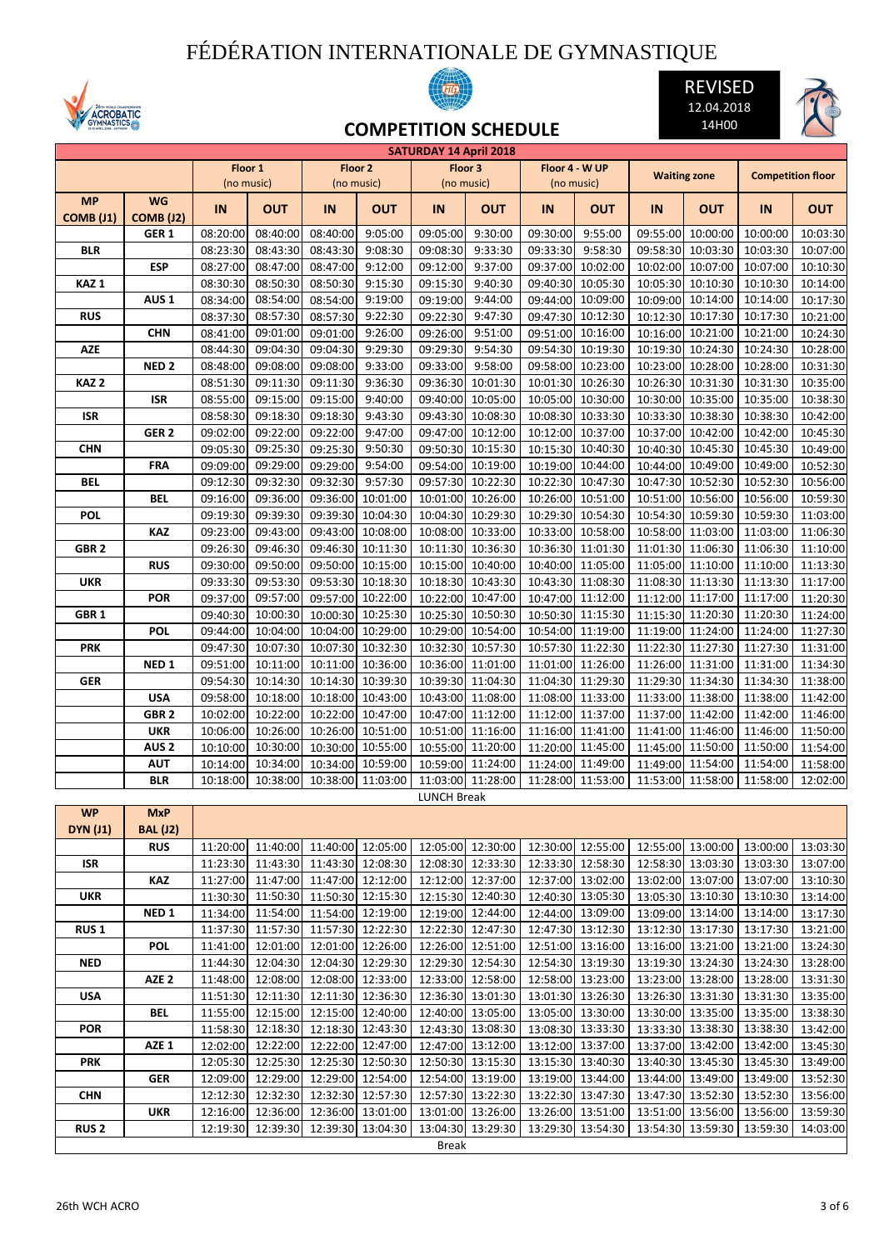## FÉDÉRATION INTERNATIONALE DE GYMNASTIQUE









**COMPETITION SCHEDULE**

|                  |                  |          |            |                            |                   | <b>SATURDAY 14 April 2018</b> |                   |          |                   |          |                     |                            |                          |
|------------------|------------------|----------|------------|----------------------------|-------------------|-------------------------------|-------------------|----------|-------------------|----------|---------------------|----------------------------|--------------------------|
|                  |                  |          | Floor 1    |                            | Floor 2           |                               | Floor 3           |          | Floor 4 - W UP    |          | <b>Waiting zone</b> |                            | <b>Competition floor</b> |
|                  |                  |          | (no music) |                            | (no music)        |                               | (no music)        |          | (no music)        |          |                     |                            |                          |
| <b>MP</b>        | <b>WG</b>        |          |            |                            |                   |                               |                   |          |                   |          |                     |                            |                          |
| <b>COMB (J1)</b> | <b>COMB (J2)</b> | IN       | <b>OUT</b> | IN                         | <b>OUT</b>        | IN                            | <b>OUT</b>        | IN       | <b>OUT</b>        | IN       | <b>OUT</b>          | IN                         | <b>OUT</b>               |
|                  | GER <sub>1</sub> | 08:20:00 | 08:40:00   | 08:40:00                   | 9:05:00           | 09:05:00                      | 9:30:00           | 09:30:00 | 9:55:00           | 09:55:00 | 10:00:00            | 10:00:00                   | 10:03:30                 |
| BLR              |                  | 08:23:30 | 08:43:30   | 08:43:30                   | 9:08:30           | 09:08:30                      | 9:33:30           | 09:33:30 | 9:58:30           |          | 09:58:30 10:03:30   | 10:03:30                   | 10:07:00                 |
|                  |                  | 08:27:00 | 08:47:00   | 08:47:00                   | 9:12:00           | 09:12:00                      | 9:37:00           | 09:37:00 | 10:02:00          |          | 10:02:00 10:07:00   | 10:07:00                   | 10:10:30                 |
|                  | ESP              |          |            |                            |                   |                               |                   |          |                   |          |                     |                            |                          |
| KAZ <sub>1</sub> |                  | 08:30:30 | 08:50:30   | 08:50:30                   | 9:15:30           | 09:15:30                      | 9:40:30           | 09:40:30 | 10:05:30          | 10:05:30 | 10:10:30            | 10:10:30                   | 10:14:00                 |
|                  | AUS <sub>1</sub> | 08:34:00 | 08:54:00   | 08:54:00                   | 9:19:00           | 09:19:00                      | 9:44:00           | 09:44:00 | 10:09:00          |          | 10:09:00 10:14:00   | 10:14:00                   | 10:17:30                 |
| <b>RUS</b>       |                  | 08:37:30 | 08:57:30   | 08:57:30                   | 9:22:30           | 09:22:30                      | 9:47:30           |          | 09:47:30 10:12:30 |          | 10:12:30 10:17:30   | 10:17:30                   | 10:21:00                 |
|                  | <b>CHN</b>       | 08:41:00 | 09:01:00   | 09:01:00                   | 9:26:00           | 09:26:00                      | 9:51:00           |          | 09:51:00 10:16:00 |          | 10:16:00 10:21:00   | 10:21:00                   | 10:24:30                 |
| <b>AZE</b>       |                  | 08:44:30 | 09:04:30   | 09:04:30                   | 9:29:30           | 09:29:30                      | 9:54:30           | 09:54:30 | 10:19:30          |          | 10:19:30 10:24:30   | 10:24:30                   | 10:28:00                 |
|                  | NED <sub>2</sub> | 08:48:00 | 09:08:00   | 09:08:00                   | 9:33:00           | 09:33:00                      | 9:58:00           | 09:58:00 | 10:23:00          |          | 10:23:00 10:28:00   | 10:28:00                   | 10:31:30                 |
| KAZ <sub>2</sub> |                  | 08:51:30 | 09:11:30   | 09:11:30                   | 9:36:30           | 09:36:30                      | 10:01:30          | 10:01:30 | 10:26:30          |          | 10:26:30 10:31:30   | 10:31:30                   | 10:35:00                 |
|                  | ISR              | 08:55:00 | 09:15:00   | 09:15:00                   | 9:40:00           | 09:40:00                      | 10:05:00          | 10:05:00 | 10:30:00          |          | 10:30:00 10:35:00   | 10:35:00                   | 10:38:30                 |
| ISR              |                  | 08:58:30 | 09:18:30   | 09:18:30                   | 9:43:30           | 09:43:30                      | 10:08:30          | 10:08:30 | 10:33:30          |          | 10:33:30 10:38:30   | 10:38:30                   | 10:42:00                 |
|                  |                  |          |            |                            |                   |                               |                   |          |                   |          |                     |                            |                          |
|                  | GER <sub>2</sub> | 09:02:00 | 09:22:00   | 09:22:00                   | 9:47:00           | 09:47:00                      | 10:12:00          | 10:12:00 | 10:37:00          |          | 10:37:00 10:42:00   | 10:42:00                   | 10:45:30                 |
| <b>CHN</b>       |                  | 09:05:30 | 09:25:30   | 09:25:30                   | 9:50:30           | 09:50:30                      | 10:15:30          | 10:15:30 | 10:40:30          |          | 10:40:30 10:45:30   | 10:45:30                   | 10:49:00                 |
|                  | <b>FRA</b>       | 09:09:00 | 09:29:00   | 09:29:00                   | 9:54:00           | 09:54:00                      | 10:19:00          | 10:19:00 | 10:44:00          |          | 10:44:00 10:49:00   | 10:49:00                   | 10:52:30                 |
| <b>BEL</b>       |                  | 09:12:30 | 09:32:30   | 09:32:30                   | 9:57:30           | 09:57:30                      | 10:22:30          | 10:22:30 | 10:47:30          |          | 10:47:30 10:52:30   | 10:52:30                   | 10:56:00                 |
|                  | <b>BEL</b>       | 09:16:00 | 09:36:00   | 09:36:00                   | 10:01:00          | 10:01:00                      | 10:26:00          | 10:26:00 | 10:51:00          |          | 10:51:00 10:56:00   | 10:56:00                   | 10:59:30                 |
| <b>POL</b>       |                  | 09:19:30 | 09:39:30   | 09:39:30                   | 10:04:30          | 10:04:30                      | 10:29:30          | 10:29:30 | 10:54:30          |          | 10:54:30 10:59:30   | 10:59:30                   | 11:03:00                 |
|                  | <b>KAZ</b>       | 09:23:00 | 09:43:00   | 09:43:00                   | 10:08:00          | 10:08:00                      | 10:33:00          | 10:33:00 | 10:58:00          |          | 10:58:00 11:03:00   | 11:03:00                   | 11:06:30                 |
| GBR <sub>2</sub> |                  | 09:26:30 | 09:46:30   | 09:46:30                   | 10:11:30          | 10:11:30                      | 10:36:30          |          | 10:36:30 11:01:30 |          | 11:01:30 11:06:30   | 11:06:30                   | 11:10:00                 |
|                  | <b>RUS</b>       | 09:30:00 | 09:50:00   | 09:50:00                   | 10:15:00          | 10:15:00                      | 10:40:00          |          | 10:40:00 11:05:00 |          | 11:05:00 11:10:00   | 11:10:00                   | 11:13:30                 |
| <b>UKR</b>       |                  | 09:33:30 | 09:53:30   | 09:53:30                   | 10:18:30          | 10:18:30                      | 10:43:30          |          | 10:43:30 11:08:30 |          | 11:08:30 11:13:30   | 11:13:30                   | 11:17:00                 |
|                  | <b>POR</b>       | 09:37:00 | 09:57:00   | 09:57:00                   | 10:22:00          | 10:22:00                      | 10:47:00          | 10:47:00 | 11:12:00          |          | 11:12:00 11:17:00   | 11:17:00                   | 11:20:30                 |
|                  |                  |          |            |                            |                   |                               |                   |          |                   |          |                     |                            |                          |
| GBR <sub>1</sub> |                  | 09:40:30 | 10:00:30   | 10:00:30                   | 10:25:30          | 10:25:30                      | 10:50:30          | 10:50:30 | 11:15:30          |          | 11:15:30 11:20:30   | 11:20:30                   | 11:24:00                 |
|                  | <b>POL</b>       | 09:44:00 | 10:04:00   | 10:04:00                   | 10:29:00          | 10:29:00                      | 10:54:00          | 10:54:00 | 11:19:00          |          | 11:19:00 11:24:00   | 11:24:00                   | 11:27:30                 |
| <b>PRK</b>       |                  | 09:47:30 | 10:07:30   | 10:07:30                   | 10:32:30          | 10:32:30                      | 10:57:30          | 10:57:30 | 11:22:30          | 11:22:30 | 11:27:30            | 11:27:30                   | 11:31:00                 |
|                  | NED <sub>1</sub> | 09:51:00 | 10:11:00   | 10:11:00                   | 10:36:00          | 10:36:00                      | 11:01:00          | 11:01:00 | 11:26:00          |          | 11:26:00 11:31:00   | 11:31:00                   | 11:34:30                 |
| <b>GER</b>       |                  | 09:54:30 | 10:14:30   | 10:14:30                   | 10:39:30          | 10:39:30                      | 11:04:30          |          | 11:04:30 11:29:30 |          | 11:29:30 11:34:30   | 11:34:30                   | 11:38:00                 |
|                  | <b>USA</b>       | 09:58:00 | 10:18:00   | 10:18:00                   | 10:43:00          | 10:43:00                      | 11:08:00          | 11:08:00 | 11:33:00          |          | 11:33:00 11:38:00   | 11:38:00                   | 11:42:00                 |
|                  | GBR <sub>2</sub> | 10:02:00 | 10:22:00   | 10:22:00                   | 10:47:00          | 10:47:00                      | 11:12:00          | 11:12:00 | 11:37:00          |          | 11:37:00 11:42:00   | 11:42:00                   | 11:46:00                 |
|                  | <b>UKR</b>       | 10:06:00 | 10:26:00   | 10:26:00                   | 10:51:00          | 10:51:00                      | 11:16:00          | 11:16:00 | 11:41:00          | 11:41:00 | 11:46:00            | 11:46:00                   | 11:50:00                 |
|                  | AUS <sub>2</sub> | 10:10:00 | 10:30:00   | 10:30:00                   | 10:55:00          | 10:55:00                      | 11:20:00          | 11:20:00 | 11:45:00          |          | 11:45:00 11:50:00   | 11:50:00                   | 11:54:00                 |
|                  | <b>AUT</b>       | 10:14:00 | 10:34:00   | 10:34:00                   | 10:59:00          | 10:59:00                      | 11:24:00          |          | 11:24:00 11:49:00 |          | 11:49:00 11:54:00   | 11:54:00                   | 11:58:00                 |
|                  | <b>BLR</b>       | 10:18:00 | 10:38:00   | 10:38:00                   | 11:03:00          |                               | 11:03:00 11:28:00 | 11:28:00 | 11:53:00          |          | 11:53:00 11:58:00   | 11:58:00                   | 12:02:00                 |
|                  |                  |          |            |                            |                   | <b>LUNCH Break</b>            |                   |          |                   |          |                     |                            |                          |
| <b>WP</b>        | <b>MxP</b>       |          |            |                            |                   |                               |                   |          |                   |          |                     |                            |                          |
| <b>DYN (J1)</b>  | <b>BAL (J2)</b>  |          |            |                            |                   |                               |                   |          |                   |          |                     |                            |                          |
|                  |                  |          |            |                            |                   |                               |                   |          |                   |          |                     |                            |                          |
|                  | <b>RUS</b>       | 11:20:00 | 11:40:00   |                            | 11:40:00 12:05:00 |                               | 12:05:00 12:30:00 |          | 12:30:00 12:55:00 |          | 12:55:00 13:00:00   | 13:00:00                   | 13:03:30                 |
| ISR              |                  | 11:23:30 | 11:43:30   |                            | 11:43:30 12:08:30 |                               | 12:08:30 12:33:30 |          | 12:33:30 12:58:30 |          | 12:58:30 13:03:30   | 13:03:30                   | 13:07:00                 |
|                  | <b>KAZ</b>       | 11:27:00 | 11:47:00   |                            | 11:47:00 12:12:00 |                               | 12:12:00 12:37:00 |          | 12:37:00 13:02:00 |          | 13:02:00 13:07:00   | 13:07:00                   | 13:10:30                 |
| UKR              |                  | 11:30:30 | 11:50:30   |                            | 11:50:30 12:15:30 |                               | 12:15:30 12:40:30 |          | 12:40:30 13:05:30 |          | 13:05:30 13:10:30   | 13:10:30                   | 13:14:00                 |
|                  | NED <sub>1</sub> | 11:34:00 | 11:54:00   |                            | 11:54:00 12:19:00 |                               | 12:19:00 12:44:00 |          | 12:44:00 13:09:00 |          | 13:09:00 13:14:00   | 13:14:00                   | 13:17:30                 |
| RUS <sub>1</sub> |                  | 11:37:30 | 11:57:30   |                            | 11:57:30 12:22:30 |                               | 12:22:30 12:47:30 |          | 12:47:30 13:12:30 |          | 13:12:30 13:17:30   | 13:17:30                   | 13:21:00                 |
|                  | <b>POL</b>       | 11:41:00 | 12:01:00   |                            | 12:01:00 12:26:00 |                               | 12:26:00 12:51:00 |          | 12:51:00 13:16:00 |          | 13:16:00 13:21:00   | 13:21:00                   | 13:24:30                 |
| <b>NED</b>       |                  | 11:44:30 | 12:04:30   |                            | 12:04:30 12:29:30 |                               | 12:29:30 12:54:30 |          | 12:54:30 13:19:30 |          | 13:19:30 13:24:30   | 13:24:30                   | 13:28:00                 |
|                  | AZE <sub>2</sub> | 11:48:00 | 12:08:00   |                            | 12:08:00 12:33:00 |                               | 12:33:00 12:58:00 |          | 12:58:00 13:23:00 |          | 13:23:00 13:28:00   | 13:28:00                   | 13:31:30                 |
| <b>USA</b>       |                  | 11:51:30 | 12:11:30   |                            | 12:11:30 12:36:30 |                               | 12:36:30 13:01:30 |          | 13:01:30 13:26:30 |          | 13:26:30 13:31:30   | 13:31:30                   | 13:35:00                 |
|                  | BEL              | 11:55:00 | 12:15:00   |                            | 12:15:00 12:40:00 |                               | 12:40:00 13:05:00 |          | 13:05:00 13:30:00 |          | 13:30:00 13:35:00   | 13:35:00                   | 13:38:30                 |
| <b>POR</b>       |                  | 11:58:30 | 12:18:30   |                            | 12:18:30 12:43:30 |                               | 12:43:30 13:08:30 |          | 13:08:30 13:33:30 |          | 13:33:30 13:38:30   | 13:38:30                   | 13:42:00                 |
|                  | AZE 1            | 12:02:00 | 12:22:00   |                            | 12:22:00 12:47:00 |                               | 12:47:00 13:12:00 |          | 13:12:00 13:37:00 |          | 13:37:00 13:42:00   | 13:42:00                   | 13:45:30                 |
|                  |                  |          |            |                            |                   |                               |                   |          |                   |          |                     |                            |                          |
| <b>PRK</b>       |                  | 12:05:30 | 12:25:30   |                            | 12:25:30 12:50:30 |                               | 12:50:30 13:15:30 |          | 13:15:30 13:40:30 |          | 13:40:30 13:45:30   | 13:45:30                   | 13:49:00                 |
|                  | <b>GER</b>       | 12:09:00 | 12:29:00   |                            | 12:29:00 12:54:00 |                               | 12:54:00 13:19:00 |          | 13:19:00 13:44:00 |          | 13:44:00 13:49:00   | 13:49:00                   | 13:52:30                 |
| <b>CHN</b>       |                  | 12:12:30 | 12:32:30   |                            | 12:32:30 12:57:30 |                               | 12:57:30 13:22:30 |          | 13:22:30 13:47:30 |          | 13:47:30 13:52:30   | 13:52:30                   | 13:56:00                 |
|                  | UKR              | 12:16:00 |            | 12:36:00 12:36:00 13:01:00 |                   |                               | 13:01:00 13:26:00 |          | 13:26:00 13:51:00 |          | 13:51:00 13:56:00   | 13:56:00                   | 13:59:30                 |
| <b>RUS 2</b>     |                  | 12:19:30 | 12:39:30   | 12:39:30 13:04:30          |                   |                               | 13:04:30 13:29:30 |          | 13:29:30 13:54:30 |          |                     | 13:54:30 13:59:30 13:59:30 | 14:03:00                 |
|                  |                  |          |            |                            |                   | <b>Break</b>                  |                   |          |                   |          |                     |                            |                          |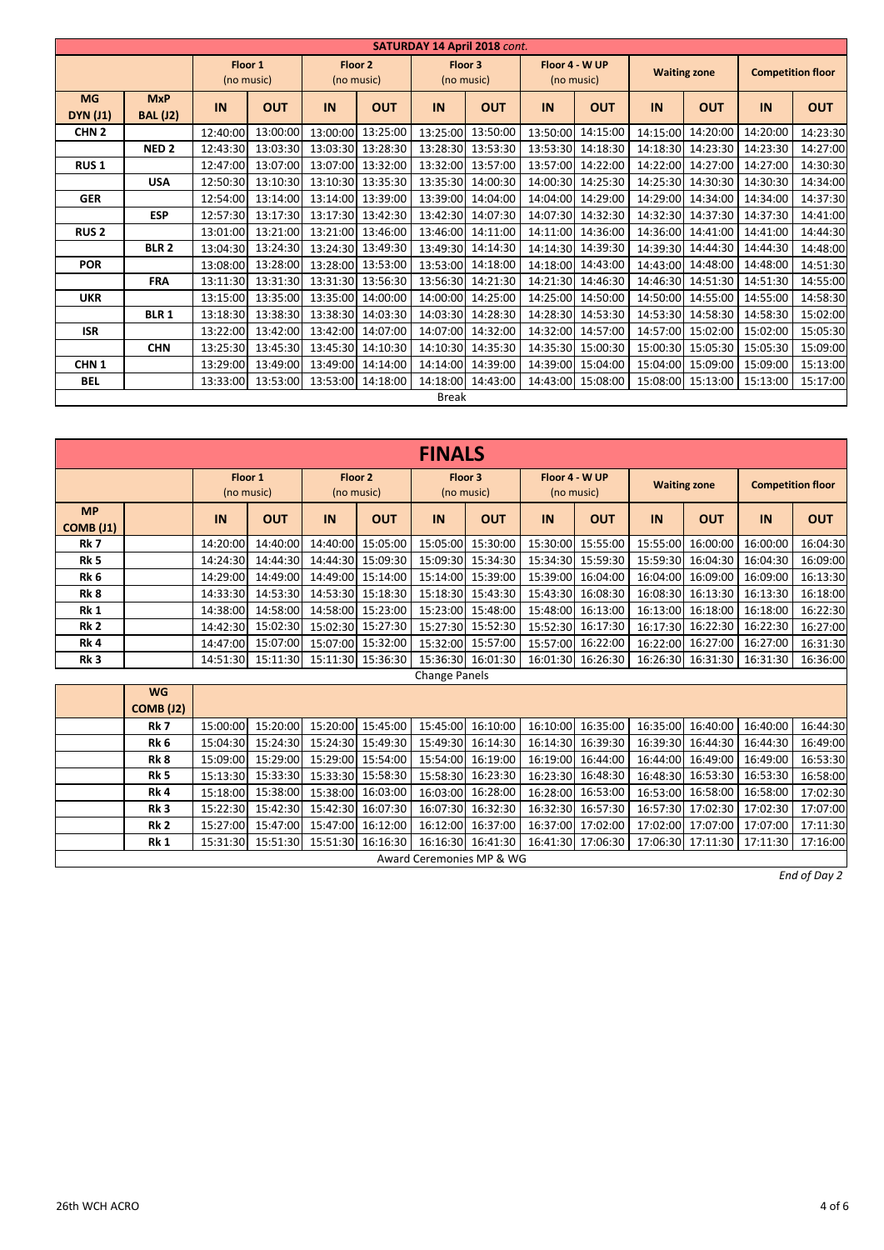|                              | <b>SATURDAY 14 April 2018 cont.</b> |          |                       |          |                       |              |                       |          |                              |          |                     |                          |            |  |
|------------------------------|-------------------------------------|----------|-----------------------|----------|-----------------------|--------------|-----------------------|----------|------------------------------|----------|---------------------|--------------------------|------------|--|
|                              |                                     |          | Floor 1<br>(no music) |          | Floor 2<br>(no music) |              | Floor 3<br>(no music) |          | Floor 4 - W UP<br>(no music) |          | <b>Waiting zone</b> | <b>Competition floor</b> |            |  |
| <b>MG</b><br><b>DYN (J1)</b> | <b>MxP</b><br><b>BAL</b> (J2)       | IN       | <b>OUT</b>            | IN       | <b>OUT</b>            | IN           | <b>OUT</b>            | IN       | <b>OUT</b>                   | IN       | <b>OUT</b>          | IN                       | <b>OUT</b> |  |
| CHN <sub>2</sub>             |                                     | 12:40:00 | 13:00:00              | 13:00:00 | 13:25:00              | 13:25:00     | 13:50:00              | 13:50:00 | 14:15:00                     | 14:15:00 | 14:20:00            | 14:20:00                 | 14:23:30   |  |
|                              | NED <sub>2</sub>                    | 12:43:30 | 13:03:30              | 13:03:30 | 13:28:30              | 13:28:30     | 13:53:30              | 13:53:30 | 14:18:30                     | 14:18:30 | 14:23:30            | 14:23:30                 | 14:27:00   |  |
| <b>RUS1</b>                  |                                     | 12:47:00 | 13:07:00              |          | 13:07:00 13:32:00     | 13:32:00     | 13:57:00              | 13:57:00 | 14:22:00                     | 14:22:00 | 14:27:00            | 14:27:00                 | 14:30:30   |  |
|                              | <b>USA</b>                          | 12:50:30 | 13:10:30              |          | 13:10:30 13:35:30     | 13:35:30     | 14:00:30              |          | 14:00:30 14:25:30            | 14:25:30 | 14:30:30            | 14:30:30                 | 14:34:00   |  |
| <b>GER</b>                   |                                     | 12:54:00 | 13:14:00              | 13:14:00 | 13:39:00              | 13:39:00     | 14:04:00              | 14:04:00 | 14:29:00                     | 14:29:00 | 14:34:00            | 14:34:00                 | 14:37:30   |  |
|                              | <b>ESP</b>                          | 12:57:30 | 13:17:30              |          | 13:17:30 13:42:30     | 13:42:30     | 14:07:30              | 14:07:30 | 14:32:30                     | 14:32:30 | 14:37:30            | 14:37:30                 | 14:41:00   |  |
| <b>RUS 2</b>                 |                                     | 13:01:00 | 13:21:00              |          | 13:21:00 13:46:00     | 13:46:00     | 14:11:00              | 14:11:00 | 14:36:00                     | 14:36:00 | 14:41:00            | 14:41:00                 | 14:44:30   |  |
|                              | <b>BLR 2</b>                        | 13:04:30 | 13:24:30              |          | 13:24:30 13:49:30     | 13:49:30     | 14:14:30              | 14:14:30 | 14:39:30                     | 14:39:30 | 14:44:30            | 14:44:30                 | 14:48:00   |  |
| <b>POR</b>                   |                                     | 13:08:00 | 13:28:00              |          | 13:28:00 13:53:00     | 13:53:00     | 14:18:00              | 14:18:00 | 14:43:00                     | 14:43:00 | 14:48:00            | 14:48:00                 | 14:51:30   |  |
|                              | <b>FRA</b>                          | 13:11:30 | 13:31:30              |          | 13:31:30 13:56:30     | 13:56:30     | 14:21:30              | 14:21:30 | 14:46:30                     | 14:46:30 | 14:51:30            | 14:51:30                 | 14:55:00   |  |
| <b>UKR</b>                   |                                     | 13:15:00 | 13:35:00              | 13:35:00 | 14:00:00              | 14:00:00     | 14:25:00              | 14:25:00 | 14:50:00                     | 14:50:00 | 14:55:00            | 14:55:00                 | 14:58:30   |  |
|                              | <b>BLR1</b>                         | 13:18:30 | 13:38:30              |          | 13:38:30 14:03:30     | 14:03:30     | 14:28:30              | 14:28:30 | 14:53:30                     | 14:53:30 | 14:58:30            | 14:58:30                 | 15:02:00   |  |
| <b>ISR</b>                   |                                     | 13:22:00 | 13:42:00              |          | 13:42:00 14:07:00     | 14:07:00     | 14:32:00              | 14:32:00 | 14:57:00                     | 14:57:00 | 15:02:00            | 15:02:00                 | 15:05:30   |  |
|                              | <b>CHN</b>                          | 13:25:30 | 13:45:30              | 13:45:30 | 14:10:30              | 14:10:30     | 14:35:30              | 14:35:30 | 15:00:30                     | 15:00:30 | 15:05:30            | 15:05:30                 | 15:09:00   |  |
| CHN <sub>1</sub>             |                                     | 13:29:00 | 13:49:00              | 13:49:00 | 14:14:00              | 14:14:00     | 14:39:00              | 14:39:00 | 15:04:00                     | 15:04:00 | 15:09:00            | 15:09:00                 | 15:13:00   |  |
| <b>BEL</b>                   |                                     | 13:33:00 | 13:53:00              |          | 13:53:00 14:18:00     | 14:18:00     | 14:43:00              |          | 14:43:00 15:08:00            |          | 15:08:00 15:13:00   | 15:13:00                 | 15:17:00   |  |
|                              |                                     |          |                       |          |                       | <b>Break</b> |                       |          |                              |          |                     |                          |            |  |

|                        | <b>FINALS</b>                 |                       |            |                       |                   |                       |                   |                              |                   |                     |                   |                            |            |  |
|------------------------|-------------------------------|-----------------------|------------|-----------------------|-------------------|-----------------------|-------------------|------------------------------|-------------------|---------------------|-------------------|----------------------------|------------|--|
|                        |                               | Floor 1<br>(no music) |            | Floor 2<br>(no music) |                   | Floor 3<br>(no music) |                   | Floor 4 - W UP<br>(no music) |                   | <b>Waiting zone</b> |                   | <b>Competition floor</b>   |            |  |
| <b>MP</b><br>COMB (J1) |                               | IN                    | <b>OUT</b> | IN                    | <b>OUT</b>        | IN                    | <b>OUT</b>        | IN                           | <b>OUT</b>        | IN                  | <b>OUT</b>        | IN                         | <b>OUT</b> |  |
| Rk <sub>7</sub>        |                               | 14:20:00              | 14:40:00   | 14:40:00              | 15:05:00          | 15:05:00              | 15:30:00          | 15:30:00                     | 15:55:00          | 15:55:00            | 16:00:00          | 16:00:00                   | 16:04:30   |  |
| Rk <sub>5</sub>        |                               | 14:24:30              | 14:44:30   | 14:44:30              | 15:09:30          | 15:09:30              | 15:34:30          | 15:34:30                     | 15:59:30          | 15:59:30            | 16:04:30          | 16:04:30                   | 16:09:00   |  |
| Rk 6                   |                               | 14:29:00              | 14:49:00   | 14:49:00              | 15:14:00          | 15:14:00              | 15:39:00          | 15:39:00                     | 16:04:00          |                     | 16:04:00 16:09:00 | 16:09:00                   | 16:13:30   |  |
| Rk 8                   |                               | 14:33:30              | 14:53:30   | 14:53:30              | 15:18:30          | 15:18:30              | 15:43:30          | 15:43:30                     | 16:08:30          |                     | 16:08:30 16:13:30 | 16:13:30                   | 16:18:00   |  |
| Rk 1                   |                               | 14:38:00              | 14:58:00   | 14:58:00              | 15:23:00          | 15:23:00              | 15:48:00          | 15:48:00                     | 16:13:00          | 16:13:00            | 16:18:00          | 16:18:00                   | 16:22:30   |  |
| Rk 2                   |                               | 14:42:30              | 15:02:30   | 15:02:30              | 15:27:30          |                       | 15:27:30 15:52:30 | 15:52:30                     | 16:17:30          |                     | 16:17:30 16:22:30 | 16:22:30                   | 16:27:00   |  |
| Rk 4                   |                               | 14:47:00              | 15:07:00   | 15:07:00              | 15:32:00          | 15:32:00              | 15:57:00          | 15:57:00                     | 16:22:00          |                     | 16:22:00 16:27:00 | 16:27:00                   | 16:31:30   |  |
| Rk <sub>3</sub>        |                               | 14:51:30              | 15:11:30   | 15:11:30              | 15:36:30          |                       | 15:36:30 16:01:30 | 16:01:30                     | 16:26:30          |                     | 16:26:30 16:31:30 | 16:31:30                   | 16:36:00   |  |
|                        |                               |                       |            |                       |                   | Change Panels         |                   |                              |                   |                     |                   |                            |            |  |
|                        | <b>WG</b><br><b>COMB (J2)</b> |                       |            |                       |                   |                       |                   |                              |                   |                     |                   |                            |            |  |
|                        | Rk 7                          | 15:00:00              | 15:20:00   | 15:20:00              | 15:45:00          | 15:45:00              | 16:10:00          |                              | 16:10:00 16:35:00 | 16:35:00            | 16:40:00          | 16:40:00                   | 16:44:30   |  |
|                        | Rk 6                          | 15:04:30              | 15:24:30   | 15:24:30              | 15:49:30          | 15:49:30              | 16:14:30          | 16:14:30                     | 16:39:30          |                     | 16:39:30 16:44:30 | 16:44:30                   | 16:49:00   |  |
|                        | Rk 8                          | 15:09:00              | 15:29:00   | 15:29:00              | 15:54:00          | 15:54:00              | 16:19:00          | 16:19:00                     | 16:44:00          |                     | 16:44:00 16:49:00 | 16:49:00                   | 16:53:30   |  |
|                        | Rk 5                          | 15:13:30              | 15:33:30   | 15:33:30              | 15:58:30          | 15:58:30              | 16:23:30          | 16:23:30                     | 16:48:30          |                     | 16:48:30 16:53:30 | 16:53:30                   | 16:58:00   |  |
|                        | Rk 4                          | 15:18:00              | 15:38:00   | 15:38:00              | 16:03:00          | 16:03:00              | 16:28:00          | 16:28:00                     | 16:53:00          | 16:53:00            | 16:58:00          | 16:58:00                   | 17:02:30   |  |
|                        | Rk <sub>3</sub>               | 15:22:30              | 15:42:30   |                       | 15:42:30 16:07:30 |                       | 16:07:30 16:32:30 |                              | 16:32:30 16:57:30 |                     |                   | 16:57:30 17:02:30 17:02:30 | 17:07:00   |  |

Award Ceremonies MP & WG

**Rk 2** 15:27:00 15:47:00 15:47:00 16:12:00 16:12:00 16:37:00 16:37:00 17:02:00 17:02:00 17:07:00 17:07:00 17:11:30 **Rk 1** 15:31:30 15:51:30 15:51:30 16:16:30 16:16:30 16:41:30 16:41:30 17:06:30 17:06:30 17:11:30 17:11:30 17:16:00

*End of Day 2*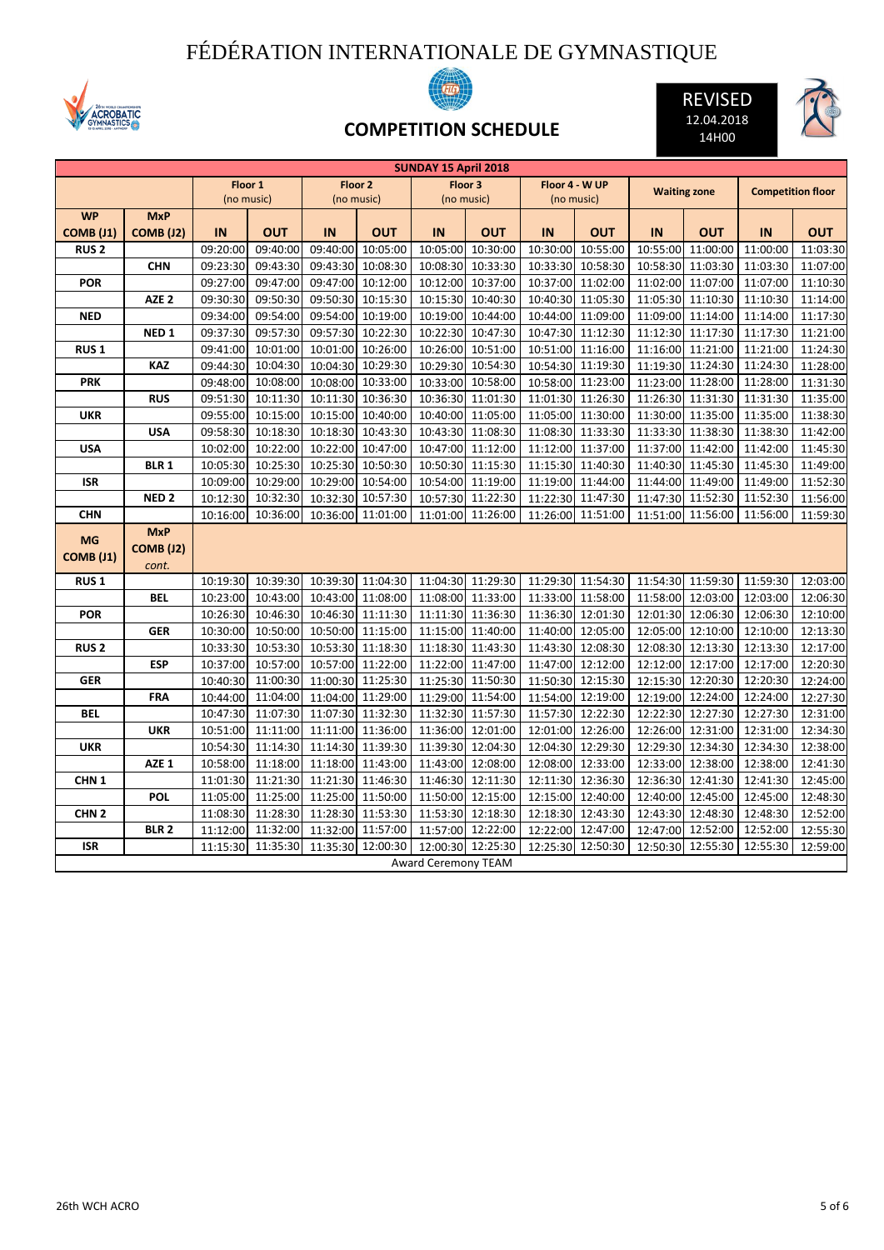## FÉDÉRATION INTERNATIONALE DE GYMNASTIQUE





REVISED 12.04.2018 14H00



## **COMPETITION SCHEDULE**

| <b>SUNDAY 15 April 2018</b> |                  |          |            |            |            |                            |                   |          |                |          |                     |          |                          |
|-----------------------------|------------------|----------|------------|------------|------------|----------------------------|-------------------|----------|----------------|----------|---------------------|----------|--------------------------|
|                             |                  |          | Floor 1    |            | Floor 2    |                            | Floor 3           |          | Floor 4 - W UP |          | <b>Waiting zone</b> |          | <b>Competition floor</b> |
|                             |                  |          | (no music) | (no music) |            | (no music)                 |                   |          | (no music)     |          |                     |          |                          |
| <b>WP</b>                   | <b>MxP</b>       |          |            |            |            |                            |                   |          |                |          |                     |          |                          |
| <b>COMB (J1)</b>            | <b>COMB (J2)</b> | IN       | <b>OUT</b> | IN         | <b>OUT</b> | IN                         | <b>OUT</b>        | IN       | <b>OUT</b>     | IN       | <b>OUT</b>          | IN       | <b>OUT</b>               |
| <b>RUS2</b>                 |                  | 09:20:00 | 09:40:00   | 09:40:00   | 10:05:00   | 10:05:00                   | 10:30:00          | 10:30:00 | 10:55:00       | 10:55:00 | 11:00:00            | 11:00:00 | 11:03:30                 |
|                             | <b>CHN</b>       | 09:23:30 | 09:43:30   | 09:43:30   | 10:08:30   |                            | 10:08:30 10:33:30 | 10:33:30 | 10:58:30       |          | 10:58:30 11:03:30   | 11:03:30 | 11:07:00                 |
| <b>POR</b>                  |                  | 09:27:00 | 09:47:00   | 09:47:00   | 10:12:00   |                            | 10:12:00 10:37:00 | 10:37:00 | 11:02:00       | 11:02:00 | 11:07:00            | 11:07:00 | 11:10:30                 |
|                             | AZE <sub>2</sub> | 09:30:30 | 09:50:30   | 09:50:30   | 10:15:30   | 10:15:30                   | 10:40:30          | 10:40:30 | 11:05:30       | 11:05:30 | 11:10:30            | 11:10:30 | 11:14:00                 |
| <b>NED</b>                  |                  | 09:34:00 | 09:54:00   | 09:54:00   | 10:19:00   | 10:19:00                   | 10:44:00          | 10:44:00 | 11:09:00       | 11:09:00 | 11:14:00            | 11:14:00 | 11:17:30                 |
|                             | NED <sub>1</sub> | 09:37:30 | 09:57:30   | 09:57:30   | 10:22:30   |                            | 10:22:30 10:47:30 | 10:47:30 | 11:12:30       |          | 11:12:30 11:17:30   | 11:17:30 | 11:21:00                 |
| <b>RUS1</b>                 |                  | 09:41:00 | 10:01:00   | 10:01:00   | 10:26:00   |                            | 10:26:00 10:51:00 | 10:51:00 | 11:16:00       | 11:16:00 | 11:21:00            | 11:21:00 | 11:24:30                 |
|                             | <b>KAZ</b>       | 09:44:30 | 10:04:30   | 10:04:30   | 10:29:30   | 10:29:30                   | 10:54:30          | 10:54:30 | 11:19:30       | 11:19:30 | 11:24:30            | 11:24:30 | 11:28:00                 |
| <b>PRK</b>                  |                  | 09:48:00 | 10:08:00   | 10:08:00   | 10:33:00   |                            | 10:33:00 10:58:00 | 10:58:00 | 11:23:00       |          | 11:23:00 11:28:00   | 11:28:00 | 11:31:30                 |
|                             | <b>RUS</b>       | 09:51:30 | 10:11:30   | 10:11:30   | 10:36:30   |                            | 10:36:30 11:01:30 | 11:01:30 | 11:26:30       |          | 11:26:30 11:31:30   | 11:31:30 | 11:35:00                 |
| <b>UKR</b>                  |                  | 09:55:00 | 10:15:00   | 10:15:00   | 10:40:00   |                            | 10:40:00 11:05:00 | 11:05:00 | 11:30:00       |          | 11:30:00 11:35:00   | 11:35:00 | 11:38:30                 |
|                             | <b>USA</b>       | 09:58:30 | 10:18:30   | 10:18:30   | 10:43:30   | 10:43:30                   | 11:08:30          | 11:08:30 | 11:33:30       | 11:33:30 | 11:38:30            | 11:38:30 | 11:42:00                 |
| <b>USA</b>                  |                  | 10:02:00 | 10:22:00   | 10:22:00   | 10:47:00   |                            | 10:47:00 11:12:00 | 11:12:00 | 11:37:00       |          | 11:37:00 11:42:00   | 11:42:00 | 11:45:30                 |
|                             | <b>BLR 1</b>     | 10:05:30 | 10:25:30   | 10:25:30   | 10:50:30   |                            | 10:50:30 11:15:30 | 11:15:30 | 11:40:30       |          | 11:40:30 11:45:30   | 11:45:30 | 11:49:00                 |
| ISR                         |                  | 10:09:00 | 10:29:00   | 10:29:00   | 10:54:00   |                            | 10:54:00 11:19:00 | 11:19:00 | 11:44:00       |          | 11:44:00 11:49:00   | 11:49:00 | 11:52:30                 |
|                             | NED <sub>2</sub> | 10:12:30 | 10:32:30   | 10:32:30   | 10:57:30   |                            | 10:57:30 11:22:30 | 11:22:30 | 11:47:30       | 11:47:30 | 11:52:30            | 11:52:30 | 11:56:00                 |
| <b>CHN</b>                  |                  | 10:16:00 | 10:36:00   | 10:36:00   | 11:01:00   | 11:01:00                   | 11:26:00          | 11:26:00 | 11:51:00       | 11:51:00 | 11:56:00            | 11:56:00 | 11:59:30                 |
| <b>MG</b>                   | <b>MxP</b>       |          |            |            |            |                            |                   |          |                |          |                     |          |                          |
|                             | <b>COMB (J2)</b> |          |            |            |            |                            |                   |          |                |          |                     |          |                          |
| COMB (J1)                   | cont.            |          |            |            |            |                            |                   |          |                |          |                     |          |                          |
| <b>RUS1</b>                 |                  | 10:19:30 | 10:39:30   | 10:39:30   | 11:04:30   |                            | 11:04:30 11:29:30 | 11:29:30 | 11:54:30       |          | 11:54:30 11:59:30   | 11:59:30 | 12:03:00                 |
|                             | <b>BEL</b>       | 10:23:00 | 10:43:00   | 10:43:00   | 11:08:00   |                            | 11:08:00 11:33:00 | 11:33:00 | 11:58:00       | 11:58:00 | 12:03:00            | 12:03:00 | 12:06:30                 |
| <b>POR</b>                  |                  | 10:26:30 | 10:46:30   | 10:46:30   | 11:11:30   |                            | 11:11:30 11:36:30 | 11:36:30 | 12:01:30       |          | 12:01:30 12:06:30   | 12:06:30 | 12:10:00                 |
|                             | <b>GER</b>       | 10:30:00 | 10:50:00   | 10:50:00   | 11:15:00   | 11:15:00                   | 11:40:00          | 11:40:00 | 12:05:00       | 12:05:00 | 12:10:00            | 12:10:00 | 12:13:30                 |
| <b>RUS2</b>                 |                  | 10:33:30 | 10:53:30   | 10:53:30   | 11:18:30   | 11:18:30                   | 11:43:30          | 11:43:30 | 12:08:30       | 12:08:30 | 12:13:30            | 12:13:30 | 12:17:00                 |
|                             | <b>ESP</b>       | 10:37:00 | 10:57:00   | 10:57:00   | 11:22:00   |                            | 11:22:00 11:47:00 | 11:47:00 | 12:12:00       | 12:12:00 | 12:17:00            | 12:17:00 | 12:20:30                 |
| <b>GER</b>                  |                  | 10:40:30 | 11:00:30   | 11:00:30   | 11:25:30   |                            | 11:25:30 11:50:30 | 11:50:30 | 12:15:30       |          | 12:15:30 12:20:30   | 12:20:30 | 12:24:00                 |
|                             | <b>FRA</b>       | 10:44:00 | 11:04:00   | 11:04:00   | 11:29:00   | 11:29:00                   | 11:54:00          | 11:54:00 | 12:19:00       | 12:19:00 | 12:24:00            | 12:24:00 | 12:27:30                 |
| <b>BEL</b>                  |                  | 10:47:30 | 11:07:30   | 11:07:30   | 11:32:30   | 11:32:30                   | 11:57:30          | 11:57:30 | 12:22:30       | 12:22:30 | 12:27:30            | 12:27:30 | 12:31:00                 |
|                             | <b>UKR</b>       | 10:51:00 | 11:11:00   | 11:11:00   | 11:36:00   |                            | 11:36:00 12:01:00 | 12:01:00 | 12:26:00       | 12:26:00 | 12:31:00            | 12:31:00 | 12:34:30                 |
| <b>UKR</b>                  |                  | 10:54:30 | 11:14:30   | 11:14:30   | 11:39:30   |                            | 11:39:30 12:04:30 | 12:04:30 | 12:29:30       |          | 12:29:30 12:34:30   | 12:34:30 | 12:38:00                 |
|                             | AZE <sub>1</sub> | 10:58:00 | 11:18:00   | 11:18:00   | 11:43:00   | 11:43:00                   | 12:08:00          | 12:08:00 | 12:33:00       | 12:33:00 | 12:38:00            | 12:38:00 | 12:41:30                 |
| CHN <sub>1</sub>            |                  | 11:01:30 | 11:21:30   | 11:21:30   | 11:46:30   | 11:46:30                   | 12:11:30          | 12:11:30 | 12:36:30       | 12:36:30 | 12:41:30            | 12:41:30 | 12:45:00                 |
|                             | <b>POL</b>       | 11:05:00 | 11:25:00   | 11:25:00   | 11:50:00   |                            | 11:50:00 12:15:00 | 12:15:00 | 12:40:00       | 12:40:00 | 12:45:00            | 12:45:00 | 12:48:30                 |
| CHN <sub>2</sub>            |                  | 11:08:30 | 11:28:30   | 11:28:30   | 11:53:30   |                            | 11:53:30 12:18:30 | 12:18:30 | 12:43:30       |          | 12:43:30 12:48:30   | 12:48:30 | 12:52:00                 |
|                             | <b>BLR2</b>      | 11:12:00 | 11:32:00   | 11:32:00   | 11:57:00   | 11:57:00                   | 12:22:00          | 12:22:00 | 12:47:00       | 12:47:00 | 12:52:00            | 12:52:00 | 12:55:30                 |
| <b>ISR</b>                  |                  | 11:15:30 | 11:35:30   | 11:35:30   | 12:00:30   |                            | 12:00:30 12:25:30 | 12:25:30 | 12:50:30       | 12:50:30 | 12:55:30            | 12:55:30 | 12:59:00                 |
|                             |                  |          |            |            |            | <b>Award Ceremony TEAM</b> |                   |          |                |          |                     |          |                          |